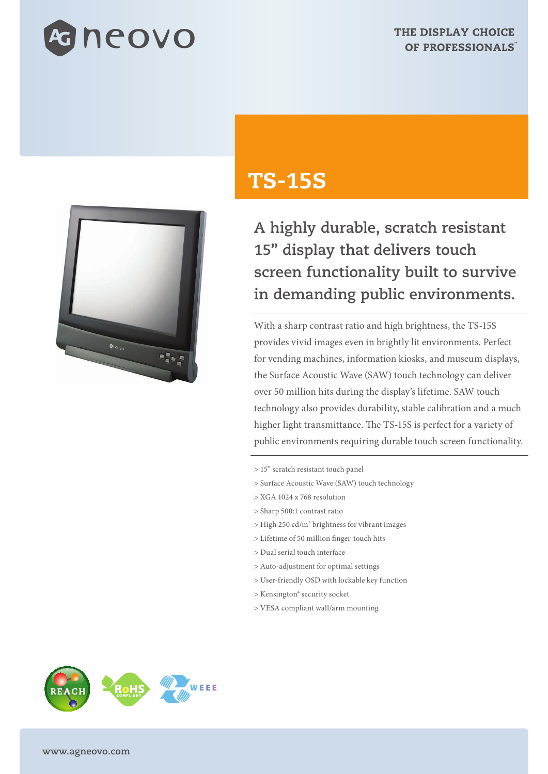



## TS-15S

**A highly durable, scratch resistant 15" display that delivers touch screen functionality built to survive in demanding public environments.**

With a sharp contrast ratio and high brightness, the TS-15S provides vivid images even in brightly lit environments. Perfect for vending machines, information kiosks, and museum displays, the Surface Acoustic Wave (SAW) touch technology can deliver over 50 million hits during the display's lifetime. SAW touch technology also provides durability, stable calibration and a much higher light transmittance. The TS-15S is perfect for a variety of public environments requiring durable touch screen functionality.

- > 15" scratch resistant touch panel
- > Surface Acoustic Wave (SAW) touch technology
- > XGA 1024 x 768 resolution
- > Sharp 500:1 contrast ratio
- > High 250 cd/m2 brightness for vibrant images
- > Lifetime of 50 million finger-touch hits
- > Dual serial touch interface
- > Auto-adjustment for optimal settings
- > User-friendly OSD with lockable key function
- > Kensington® security socket
- > VESA compliant wall/arm mounting